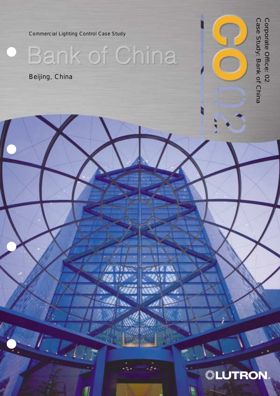Commercial Lighting Control Case Study

Bank of China

Beijing, China

Corporate Office: 02<br>Case Study: Bank of China Case Study: Bank of China Corporate Office: 02

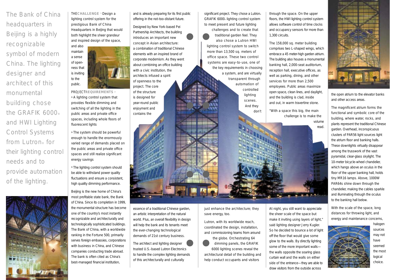THE**CHALLENGE ›** Design a lighting control system for the prestigious Bank of China Headquarters in Beijing that would both highlight the sheer grandeur and inspired design of the space,



PROJECT**REQUIREMENTS ›**

**›** The lighting control system should be able to withstand power quality fluctuations and ensure a consistent, high quality dimming performance.

**›** A lighting control system that provides flexible dimming and switching of all the lighting in the public areas and private office spaces, including whole floors of fluorescent lights

**›** The system should be powerful enough to handle the enormously varied range of demands placed on the public areas and private office spaces and still realize significant energy savings

significant project. They chose a Lutron® GRAFIK 6000® lighting control system to meet present and future lighting challenges and to create that traditional garden feel. They

Beijing is the new home of China's most profitable state bank, the Bank of China. Since its completion in 1999, the monumental structure has become one of the country's most instantly recognizable and architecturally and technologically sophisticated buildings. The Bank of China, with a worldwide ranking in the Fortune 500, primarily serves foreign embassies, corporations with business in China, and Chinese companies conducting trade abroad. The bank is often cited as China's best-managed financial institution,

and is already preparing for its first public offering in the not-too-distant future.

Designed by New York-based Pei Partnership Architects, the building introduces an important new concept in Asian architecture: a combination of traditional Chinese elements with an inspired brand of corporate modernism. As they went about combining an office building with a civic institution, the architects infused a spirit of openness to the project. The core of the structure is designed for year-round public enjoyment and contains the

> just enhance the architecture; they save energy, too.

also chose a Lutron HWI lighting control system to switch more than 13,500 sq. meters of office space. These two control systems are easy-to-use, one of the key requirements in choosing a system, and are virtually transparent through automation of controlled lighting scenes. And they

don't

through the space. On the upper floors, the HWI lighting control system allows software control of time clocks and occupancy sensors for more than 1,300 circuits.

The 158,000 sq. meter building comprises two L-shaped wings, which embrace a 45 meter-high garden atrium. The building also houses a monumental banking hall, 2,000-seat auditorium, reception hall, executive offices, as well as parking, dining, and other services for more than 2,500 employees. Public areas maximize open space, clean lines, and daylight, and the building is clad, inside and out, in warm travertine stone.

"With a space this big, the main

challenge is to make the volume read.





At night, you still want to appreciate the sheer scale of the space but make it inviting using layers of light," said lighting designer Jerry Kugler. So he decided to bounce a lot of light off the floor that would give some glow to the walls. By directly lighting some of the more important walls the walls opposite the soaring glass curtain wall and the walls on either side of the entrance—they are able to draw visitors from the outside across

essence of a traditional Chinese garden, an artistic interpretation of the natural world. Plus, an overall flexibility in design will help the bank and its tenants meet the ever-changing technological demands of 21st century business.

The architect and lighting designer trusted U.S.-based Lutron Electronics to handle the complex lighting demands of this architecturally and culturally

Lutron, with its worldwide reach, coordinated the design, installation, and commissioning teams from around

the globe. Orchestrating 64 dimming panels, the GRAFIK 6000 lighting scenes reveal the architectural detail of the building and help conduct occupants and visitors

the open atrium to the elevator banks and other access areas.

The magnificent atrium forms the functional and symbolic core of the building, where water, rocks, and plants represent the traditional Chinese garden. Overhead, inconspicuous clusters of PAR56 light sources light the atrium floor and banking halls. These downlights virtually disappear among the trusswork of the vast pyramidal, clear-glass skylight. The 10-meter bicycle-wheel chandelier, which hangs above an oculus in the floor of the upper banking hall, holds tiny MR16 lamps. Above, 1000W PAR64s shine down through the chandelier, making the cables sparkle and illuminating through the oculus to the banking hall below.

With the scale of the space, long distances for throwing light, and energy and maintenance concerns,



halogen sources may not have seemed the most logical choice.

The Bank of China headquarters in Beijing is a highly recognizable symbol of modern China. The lighting designer and architect of this monumental building chose the GRAFIK 6000® and HWI Lighting Control Systems from Lutron® for their lighting control needs and to provide automation of the lighting.